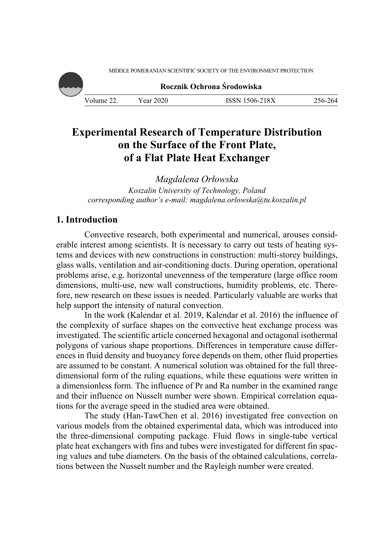MIDDLE POMERANIAN SCIENTIFIC SOCIETY OF THE ENVIRONMENT PROTECTION



# **Experimental Research of Temperature Distribution on the Surface of the Front Plate, of a Flat Plate Heat Exchanger**

*Magdalena Orłowska Koszalin University of Technology, Poland corresponding author's e-mail: magdalena.orlowska@tu.koszalin.pl* 

# **1. Introduction**

Convective research, both experimental and numerical, arouses considerable interest among scientists. It is necessary to carry out tests of heating systems and devices with new constructions in construction: multi-storey buildings, glass walls, ventilation and air-conditioning ducts. During operation, operational problems arise, e.g. horizontal unevenness of the temperature (large office room dimensions, multi-use, new wall constructions, humidity problems, etc. Therefore, new research on these issues is needed. Particularly valuable are works that help support the intensity of natural convection.

In the work (Kalendar et al. 2019, Kalendar et al. 2016) the influence of the complexity of surface shapes on the convective heat exchange process was investigated. The scientific article concerned hexagonal and octagonal isothermal polygons of various shape proportions. Differences in temperature cause differences in fluid density and buoyancy force depends on them, other fluid properties are assumed to be constant. A numerical solution was obtained for the full threedimensional form of the ruling equations, while these equations were written in a dimensionless form. The influence of Pr and Ra number in the examined range and their influence on Nusselt number were shown. Empirical correlation equations for the average speed in the studied area were obtained.

The study (Han-TawChen et al. 2016) investigated free convection on various models from the obtained experimental data, which was introduced into the three-dimensional computing package. Fluid flows in single-tube vertical plate heat exchangers with fins and tubes were investigated for different fin spacing values and tube diameters. On the basis of the obtained calculations, correlations between the Nusselt number and the Rayleigh number were created.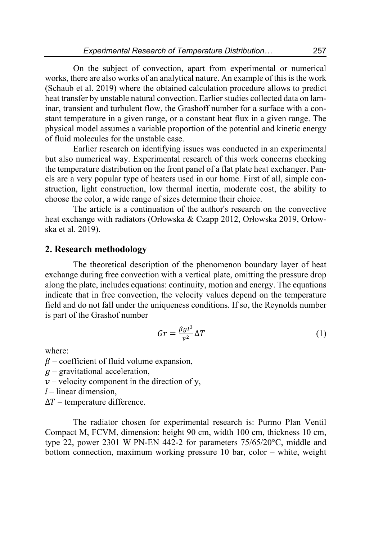On the subject of convection, apart from experimental or numerical works, there are also works of an analytical nature. An example of this is the work (Schaub et al. 2019) where the obtained calculation procedure allows to predict heat transfer by unstable natural convection. Earlier studies collected data on laminar, transient and turbulent flow, the Grashoff number for a surface with a constant temperature in a given range, or a constant heat flux in a given range. The physical model assumes a variable proportion of the potential and kinetic energy of fluid molecules for the unstable case.

Earlier research on identifying issues was conducted in an experimental but also numerical way. Experimental research of this work concerns checking the temperature distribution on the front panel of a flat plate heat exchanger. Panels are a very popular type of heaters used in our home. First of all, simple construction, light construction, low thermal inertia, moderate cost, the ability to choose the color, a wide range of sizes determine their choice.

The article is a continuation of the author's research on the convective heat exchange with radiators (Orłowska & Czapp 2012, Orłowska 2019, Orłowska et al. 2019).

#### **2. Research methodology**

The theoretical description of the phenomenon boundary layer of heat exchange during free convection with a vertical plate, omitting the pressure drop along the plate, includes equations: continuity, motion and energy. The equations indicate that in free convection, the velocity values depend on the temperature field and do not fall under the uniqueness conditions. If so, the Reynolds number is part of the Grashof number

$$
Gr = \frac{\beta g l^3}{v^2} \Delta T \tag{1}
$$

where:

 $\beta$  – coefficient of fluid volume expansion,

 $q$  – gravitational acceleration,

 $\nu$  – velocity component in the direction of y,

*l* – linear dimension,

 $\Delta T$  – temperature difference.

The radiator chosen for experimental research is: Purmo Plan Ventil Compact M, FCVM, dimension: height 90 cm, width 100 cm, thickness 10 cm, type 22, power 2301 W PN-EN 442-2 for parameters 75/65/20°C, middle and bottom connection, maximum working pressure 10 bar, color – white, weight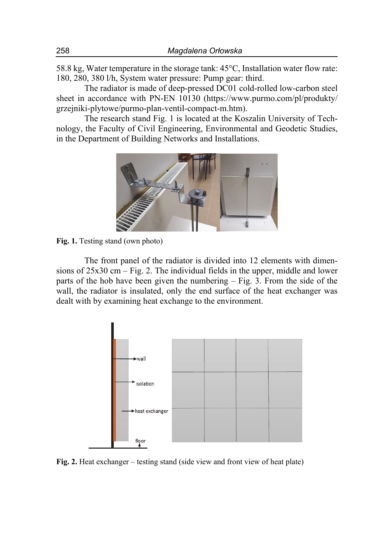58.8 kg, Water temperature in the storage tank: 45°C, Installation water flow rate: 180, 280, 380 l/h, System water pressure: Pump gear: third.

The radiator is made of deep-pressed DC01 cold-rolled low-carbon steel sheet in accordance with PN-EN 10130 (https://www.purmo.com/pl/produkty/ grzejniki-plytowe/purmo-plan-ventil-compact-m.htm).

The research stand Fig. 1 is located at the Koszalin University of Technology, the Faculty of Civil Engineering, Environmental and Geodetic Studies, in the Department of Building Networks and Installations.



**Fig. 1.** Testing stand (own photo)

The front panel of the radiator is divided into 12 elements with dimensions of 25x30 cm – Fig. 2. The individual fields in the upper, middle and lower parts of the hob have been given the numbering – Fig. 3. From the side of the wall, the radiator is insulated, only the end surface of the heat exchanger was dealt with by examining heat exchange to the environment.



**Fig. 2.** Heat exchanger – testing stand (side view and front view of heat plate)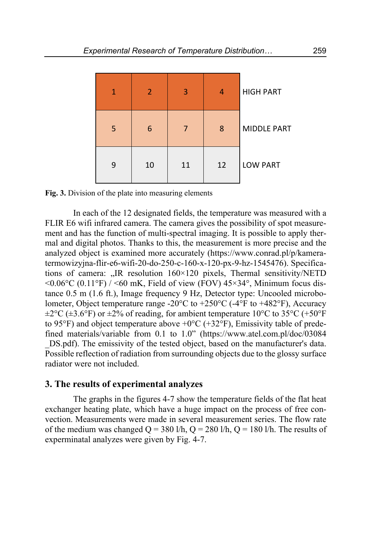

**Fig. 3.** Division of the plate into measuring elements

In each of the 12 designated fields, the temperature was measured with a FLIR E6 wifi infrared camera. The camera gives the possibility of spot measurement and has the function of multi-spectral imaging. It is possible to apply thermal and digital photos. Thanks to this, the measurement is more precise and the analyzed object is examined more accurately (https://www.conrad.pl/p/kameratermowizyjna-flir-e6-wifi-20-do-250-c-160-x-120-px-9-hz-1545476). Specifications of camera: "IR resolution  $160 \times 120$  pixels, Thermal sensitivity/NETD  $\leq 0.06^{\circ}$ C (0.11°F) /  $\leq 60$  mK, Field of view (FOV) 45×34°, Minimum focus distance 0.5 m (1.6 ft.), Image frequency 9 Hz, Detector type: Uncooled microbolometer, Object temperature range -20 $\degree$ C to +250 $\degree$ C (-4 $\degree$ F to +482 $\degree$ F), Accuracy  $\pm 2^{\circ}$ C ( $\pm 3.6^{\circ}$ F) or  $\pm 2\%$  of reading, for ambient temperature 10°C to 35°C (+50°F) to 95°F) and object temperature above  $+0$ °C ( $+32$ °F), Emissivity table of predefined materials/variable from 0.1 to 1.0" (https://www.atel.com.pl/doc/03084 DS.pdf). The emissivity of the tested object, based on the manufacturer's data. Possible reflection of radiation from surrounding objects due to the glossy surface radiator were not included.

#### **3. The results of experimental analyzes**

The graphs in the figures 4-7 show the temperature fields of the flat heat exchanger heating plate, which have a huge impact on the process of free convection. Measurements were made in several measurement series. The flow rate of the medium was changed  $Q = 380 \text{ l/h}$ ,  $Q = 280 \text{ l/h}$ ,  $Q = 180 \text{ l/h}$ . The results of experminatal analyzes were given by Fig. 4-7.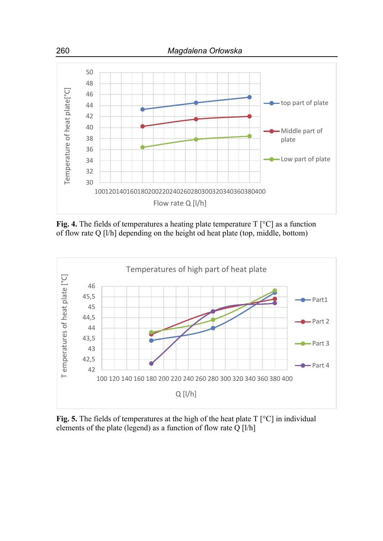

**Fig. 4.** The fields of temperatures a heating plate temperature T [°C] as a function of flow rate Q [l/h] depending on the height od heat plate (top, middle, bottom)



**Fig. 5.** The fields of temperatures at the high of the heat plate T [°C] in individual elements of the plate (legend) as a function of flow rate Q [l/h]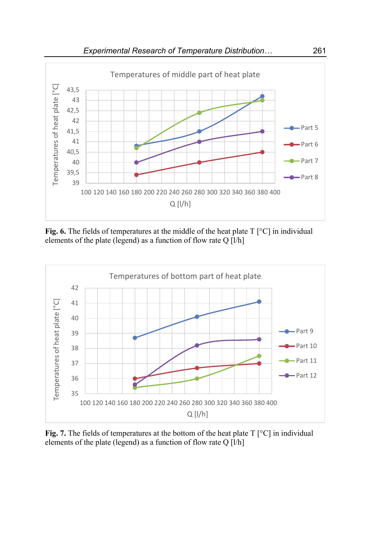

Fig. 6. The fields of temperatures at the middle of the heat plate T [°C] in individual elements of the plate (legend) as a function of flow rate Q [l/h]



**Fig. 7.** The fields of temperatures at the bottom of the heat plate T [°C] in individual elements of the plate (legend) as a function of flow rate Q [l/h]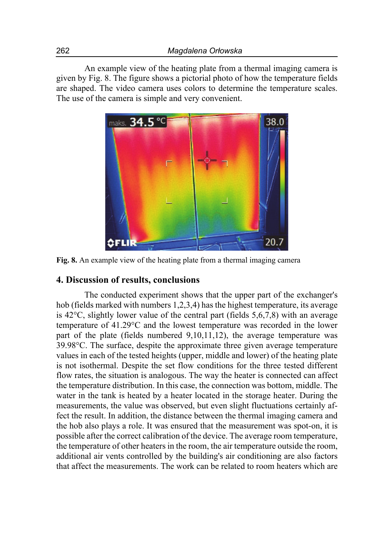An example view of the heating plate from a thermal imaging camera is given by Fig. 8. The figure shows a pictorial photo of how the temperature fields are shaped. The video camera uses colors to determine the temperature scales. The use of the camera is simple and very convenient.



**Fig. 8.** An example view of the heating plate from a thermal imaging camera

### **4. Discussion of results, conclusions**

The conducted experiment shows that the upper part of the exchanger's hob (fields marked with numbers 1,2,3,4) has the highest temperature, its average is  $42^{\circ}$ C, slightly lower value of the central part (fields  $5,6,7,8$ ) with an average temperature of 41.29°C and the lowest temperature was recorded in the lower part of the plate (fields numbered 9,10,11,12), the average temperature was 39.98°C. The surface, despite the approximate three given average temperature values in each of the tested heights (upper, middle and lower) of the heating plate is not isothermal. Despite the set flow conditions for the three tested different flow rates, the situation is analogous. The way the heater is connected can affect the temperature distribution. In this case, the connection was bottom, middle. The water in the tank is heated by a heater located in the storage heater. During the measurements, the value was observed, but even slight fluctuations certainly affect the result. In addition, the distance between the thermal imaging camera and the hob also plays a role. It was ensured that the measurement was spot-on, it is possible after the correct calibration of the device. The average room temperature, the temperature of other heaters in the room, the air temperature outside the room, additional air vents controlled by the building's air conditioning are also factors that affect the measurements. The work can be related to room heaters which are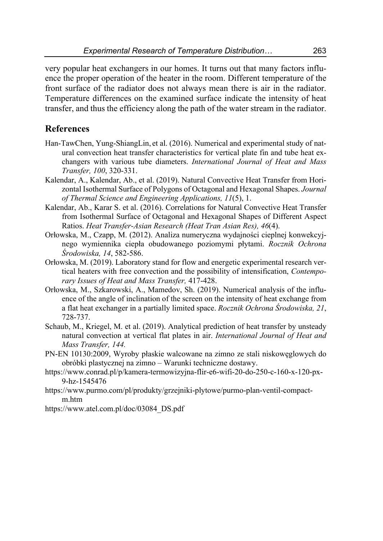very popular heat exchangers in our homes. It turns out that many factors influence the proper operation of the heater in the room. Different temperature of the front surface of the radiator does not always mean there is air in the radiator. Temperature differences on the examined surface indicate the intensity of heat transfer, and thus the efficiency along the path of the water stream in the radiator.

## **References**

- Han-TawChen, Yung-ShiangLin, et al. (2016). Numerical and experimental study of natural convection heat transfer characteristics for vertical plate fin and tube heat exchangers with various tube diameters. *International Journal of Heat and Mass Transfer, 100*, 320-331.
- Kalendar, A., Kalendar, Ab., et al. (2019). Natural Convective Heat Transfer from Horizontal Isothermal Surface of Polygons of Octagonal and Hexagonal Shapes. *Journal of Thermal Science and Engineering Applications, 11*(5), 1.
- Kalendar, Ab., Karar S. et al. (2016). Correlations for Natural Convective Heat Transfer from Isothermal Surface of Octagonal and Hexagonal Shapes of Different Aspect Ratios. *Heat Transfer-Asian Research (Heat Tran Asian Res), 46*(4).
- Orłowska, M., Czapp, M. (2012). Analiza numeryczna wydajności cieplnej konwekcyjnego wymiennika ciepła obudowanego poziomymi płytami. *Rocznik Ochrona Środowiska, 14*, 582-586.
- Orłowska, M. (2019). Laboratory stand for flow and energetic experimental research vertical heaters with free convection and the possibility of intensification, *Contemporary Issues of Heat and Mass Transfer,* 417-428.
- Orłowska, M., Szkarowski, A., Mamedov, Sh. (2019). Numerical analysis of the influence of the angle of inclination of the screen on the intensity of heat exchange from a flat heat exchanger in a partially limited space. *Rocznik Ochrona Środowiska, 21*, 728-737.
- Schaub, M., Kriegel, M. et al. (2019). Analytical prediction of heat transfer by unsteady natural convection at vertical flat plates in air. *International Journal of Heat and Mass Transfer, 144.*
- PN-EN 10130:2009, Wyroby płaskie walcowane na zimno ze stali niskowęglowych do obróbki plastycznej na zimno – Warunki techniczne dostawy.
- https://www.conrad.pl/p/kamera-termowizyjna-flir-e6-wifi-20-do-250-c-160-x-120-px-9-hz-1545476
- https://www.purmo.com/pl/produkty/grzejniki-plytowe/purmo-plan-ventil-compactm.htm
- https://www.atel.com.pl/doc/03084\_DS.pdf